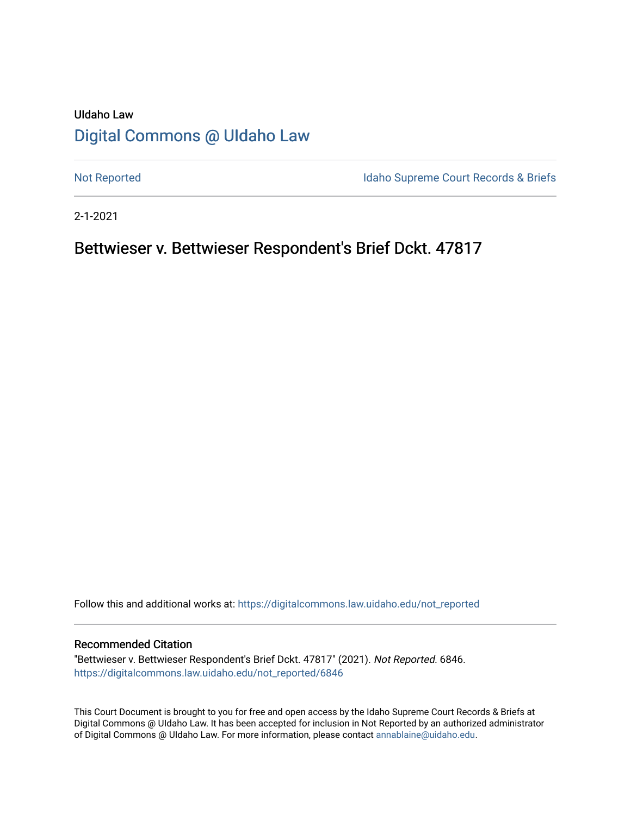# UIdaho Law [Digital Commons @ UIdaho Law](https://digitalcommons.law.uidaho.edu/)

[Not Reported](https://digitalcommons.law.uidaho.edu/not_reported) **Idaho Supreme Court Records & Briefs** 

2-1-2021

# Bettwieser v. Bettwieser Respondent's Brief Dckt. 47817

Follow this and additional works at: [https://digitalcommons.law.uidaho.edu/not\\_reported](https://digitalcommons.law.uidaho.edu/not_reported?utm_source=digitalcommons.law.uidaho.edu%2Fnot_reported%2F6846&utm_medium=PDF&utm_campaign=PDFCoverPages) 

#### Recommended Citation

"Bettwieser v. Bettwieser Respondent's Brief Dckt. 47817" (2021). Not Reported. 6846. [https://digitalcommons.law.uidaho.edu/not\\_reported/6846](https://digitalcommons.law.uidaho.edu/not_reported/6846?utm_source=digitalcommons.law.uidaho.edu%2Fnot_reported%2F6846&utm_medium=PDF&utm_campaign=PDFCoverPages)

This Court Document is brought to you for free and open access by the Idaho Supreme Court Records & Briefs at Digital Commons @ UIdaho Law. It has been accepted for inclusion in Not Reported by an authorized administrator of Digital Commons @ UIdaho Law. For more information, please contact [annablaine@uidaho.edu](mailto:annablaine@uidaho.edu).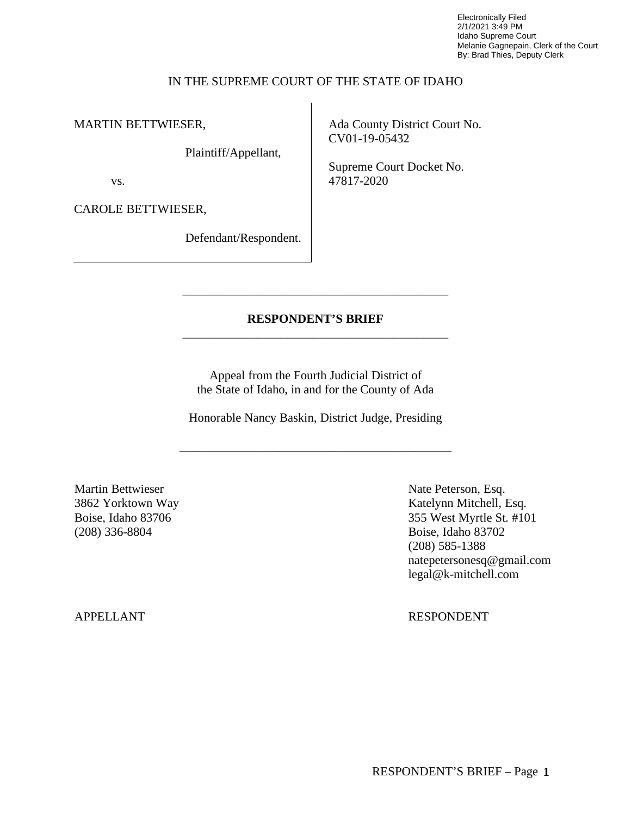Electronically Filed 2/1/2021 3:49 PM Idaho Supreme Court Melanie Gagnepain, Clerk of the Court By: Brad Thies, Deputy Clerk

## IN THE SUPREME COURT OF THE STATE OF IDAHO

MARTIN BETTWIESER,

Plaintiff/Appellant,

vs.

CAROLE BETTWIESER,

Defendant/Respondent.

Ada County District Court No. CV01-19-05432

Supreme Court Docket No. 47817-2020

## **RESPONDENT'S BRIEF** \_\_\_\_\_\_\_\_\_\_\_\_\_\_\_\_\_\_\_\_\_\_\_\_\_\_\_\_\_\_\_\_\_\_\_\_\_\_\_\_\_\_\_

\_\_\_\_\_\_\_\_\_\_\_\_\_\_\_\_\_\_\_\_\_\_\_\_\_\_\_\_\_\_\_\_\_\_\_\_\_\_\_\_\_\_\_

Appeal from the Fourth Judicial District of the State of Idaho, in and for the County of Ada

Honorable Nancy Baskin, District Judge, Presiding

\_\_\_\_\_\_\_\_\_\_\_\_\_\_\_\_\_\_\_\_\_\_\_\_\_\_\_\_\_\_\_\_\_\_\_\_\_\_\_\_\_\_\_\_

Martin Bettwieser Nate Peterson, Esq. (208) 336-8804 Boise, Idaho 83702

3862 Yorktown Way Katelynn Mitchell, Esq. Boise, Idaho 83706 355 West Myrtle St. #101 (208) 585-1388 natepetersonesq@gmail.com legal@k-mitchell.com

APPELLANT RESPONDENT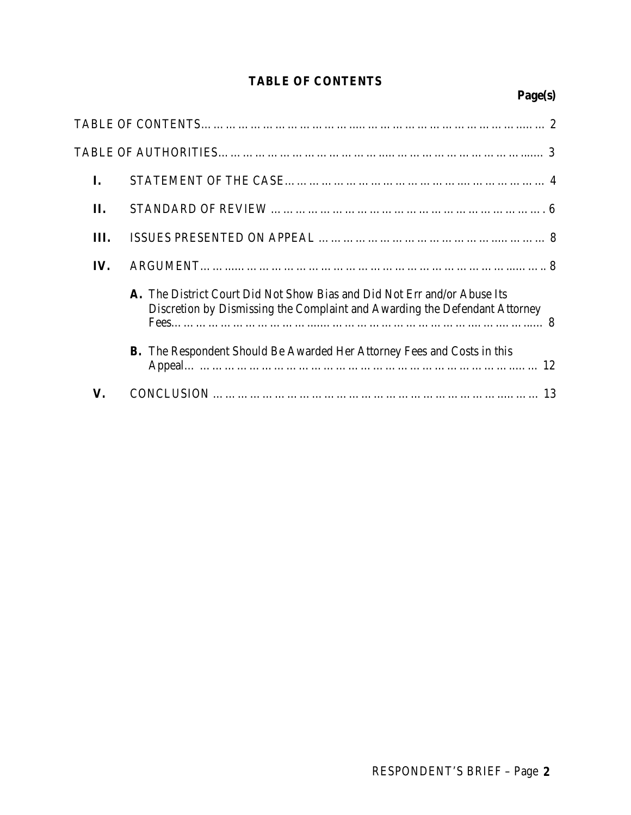# **TABLE OF CONTENTS**

# **Page(s)**

| I.  |                                                                                                                                                        |
|-----|--------------------------------------------------------------------------------------------------------------------------------------------------------|
| П.  |                                                                                                                                                        |
| Ш.  |                                                                                                                                                        |
| IV. |                                                                                                                                                        |
|     | A. The District Court Did Not Show Bias and Did Not Err and/or Abuse Its<br>Discretion by Dismissing the Complaint and Awarding the Defendant Attorney |
|     | <b>B.</b> The Respondent Should Be Awarded Her Attorney Fees and Costs in this                                                                         |
| V.  |                                                                                                                                                        |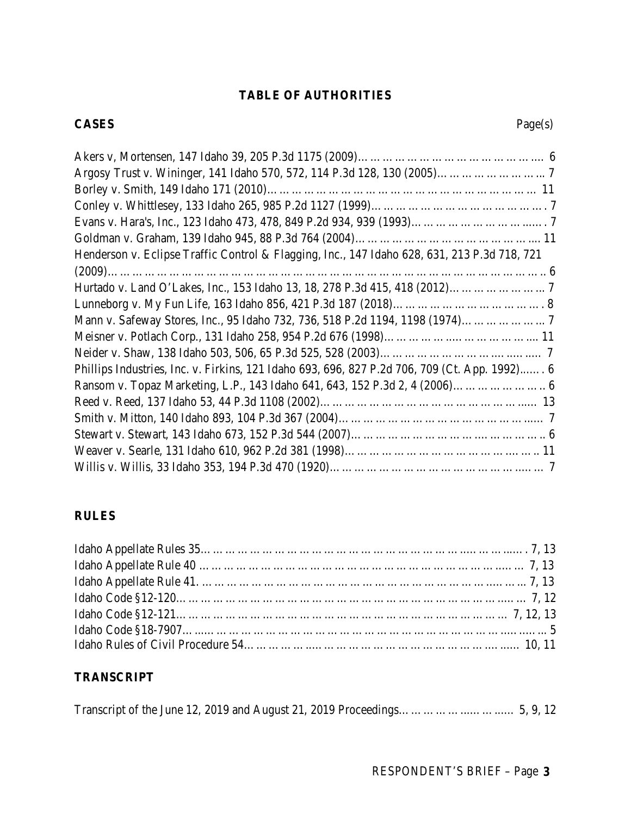# **TABLE OF AUTHORITIES**

## **CASES** Page(s)

| Henderson v. Eclipse Traffic Control & Flagging, Inc., 147 Idaho 628, 631, 213 P.3d 718, 721  |  |
|-----------------------------------------------------------------------------------------------|--|
|                                                                                               |  |
|                                                                                               |  |
|                                                                                               |  |
|                                                                                               |  |
|                                                                                               |  |
|                                                                                               |  |
| Phillips Industries, Inc. v. Firkins, 121 Idaho 693, 696, 827 P.2d 706, 709 (Ct. App. 1992) 6 |  |
|                                                                                               |  |
|                                                                                               |  |
|                                                                                               |  |
|                                                                                               |  |
|                                                                                               |  |
|                                                                                               |  |

# **RULES**

# **TRANSCRIPT**

|--|--|--|--|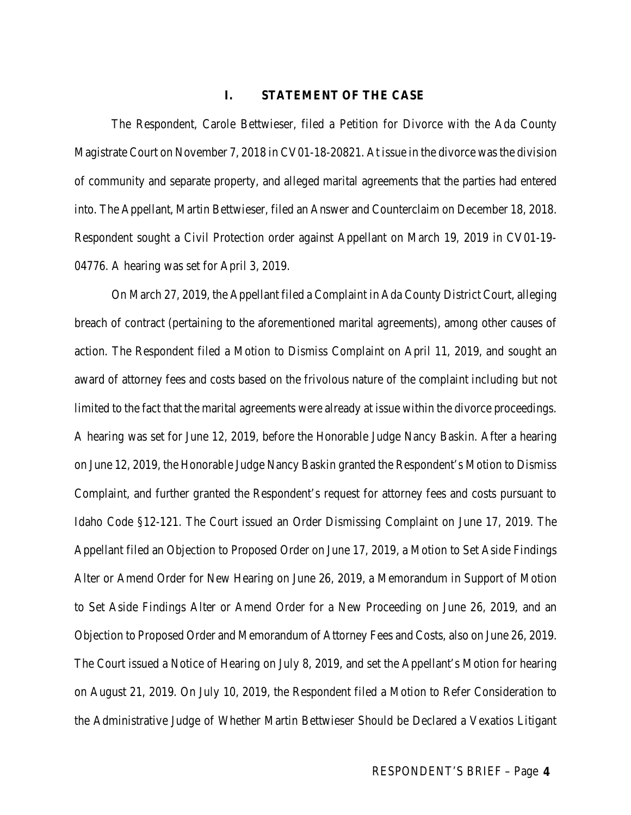#### **I. STATEMENT OF THE CASE**

The Respondent, Carole Bettwieser, filed a Petition for Divorce with the Ada County Magistrate Court on November 7, 2018 in CV01-18-20821. At issue in the divorce was the division of community and separate property, and alleged marital agreements that the parties had entered into. The Appellant, Martin Bettwieser, filed an Answer and Counterclaim on December 18, 2018. Respondent sought a Civil Protection order against Appellant on March 19, 2019 in CV01-19- 04776. A hearing was set for April 3, 2019.

On March 27, 2019, the Appellant filed a Complaint in Ada County District Court, alleging breach of contract (pertaining to the aforementioned marital agreements), among other causes of action. The Respondent filed a Motion to Dismiss Complaint on April 11, 2019, and sought an award of attorney fees and costs based on the frivolous nature of the complaint including but not limited to the fact that the marital agreements were already at issue within the divorce proceedings. A hearing was set for June 12, 2019, before the Honorable Judge Nancy Baskin. After a hearing on June 12, 2019, the Honorable Judge Nancy Baskin granted the Respondent's Motion to Dismiss Complaint, and further granted the Respondent's request for attorney fees and costs pursuant to Idaho Code §12-121. The Court issued an Order Dismissing Complaint on June 17, 2019. The Appellant filed an Objection to Proposed Order on June 17, 2019, a Motion to Set Aside Findings Alter or Amend Order for New Hearing on June 26, 2019, a Memorandum in Support of Motion to Set Aside Findings Alter or Amend Order for a New Proceeding on June 26, 2019, and an Objection to Proposed Order and Memorandum of Attorney Fees and Costs, also on June 26, 2019. The Court issued a Notice of Hearing on July 8, 2019, and set the Appellant's Motion for hearing on August 21, 2019. On July 10, 2019, the Respondent filed a Motion to Refer Consideration to the Administrative Judge of Whether Martin Bettwieser Should be Declared a Vexatios Litigant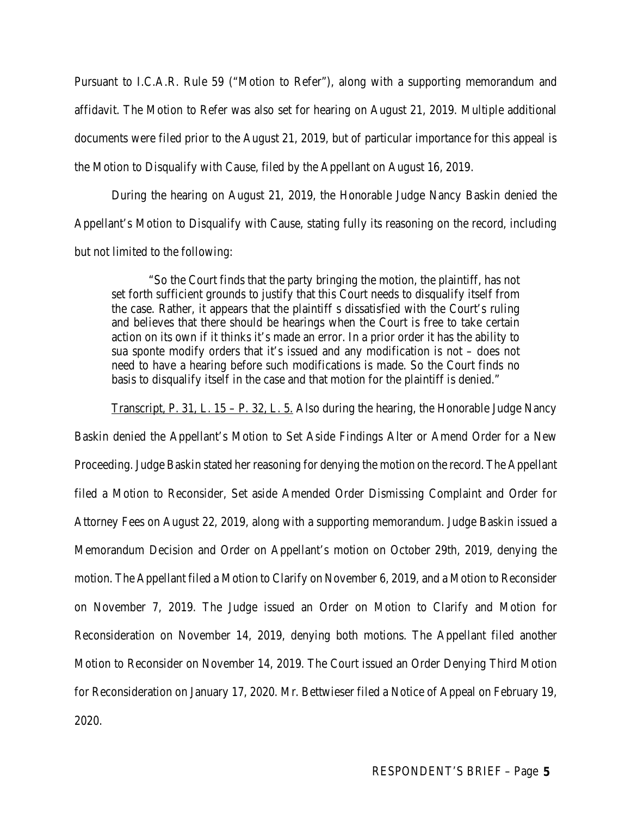Pursuant to I.C.A.R. Rule 59 ("Motion to Refer"), along with a supporting memorandum and affidavit. The Motion to Refer was also set for hearing on August 21, 2019. Multiple additional documents were filed prior to the August 21, 2019, but of particular importance for this appeal is the Motion to Disqualify with Cause, filed by the Appellant on August 16, 2019.

During the hearing on August 21, 2019, the Honorable Judge Nancy Baskin denied the Appellant's Motion to Disqualify with Cause, stating fully its reasoning on the record, including but not limited to the following:

"So the Court finds that the party bringing the motion, the plaintiff, has not set forth sufficient grounds to justify that this Court needs to disqualify itself from the case. Rather, it appears that the plaintiff s dissatisfied with the Court's ruling and believes that there should be hearings when the Court is free to take certain action on its own if it thinks it's made an error. In a prior order it has the ability to sua sponte modify orders that it's issued and any modification is not – does not need to have a hearing before such modifications is made. So the Court finds no basis to disqualify itself in the case and that motion for the plaintiff is denied."

Transcript, P. 31, L.  $15 - P$ . 32, L. 5. Also during the hearing, the Honorable Judge Nancy

Baskin denied the Appellant's Motion to Set Aside Findings Alter or Amend Order for a New Proceeding. Judge Baskin stated her reasoning for denying the motion on the record. The Appellant filed a Motion to Reconsider, Set aside Amended Order Dismissing Complaint and Order for Attorney Fees on August 22, 2019, along with a supporting memorandum. Judge Baskin issued a Memorandum Decision and Order on Appellant's motion on October 29th, 2019, denying the motion. The Appellant filed a Motion to Clarify on November 6, 2019, and a Motion to Reconsider on November 7, 2019. The Judge issued an Order on Motion to Clarify and Motion for Reconsideration on November 14, 2019, denying both motions. The Appellant filed another Motion to Reconsider on November 14, 2019. The Court issued an Order Denying Third Motion for Reconsideration on January 17, 2020. Mr. Bettwieser filed a Notice of Appeal on February 19, 2020.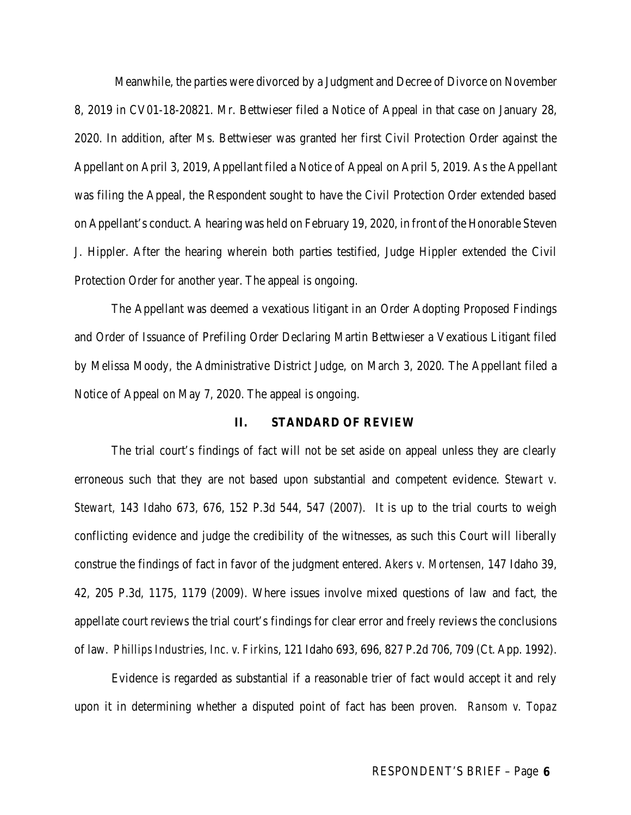Meanwhile, the parties were divorced by a Judgment and Decree of Divorce on November 8, 2019 in CV01-18-20821. Mr. Bettwieser filed a Notice of Appeal in that case on January 28, 2020. In addition, after Ms. Bettwieser was granted her first Civil Protection Order against the Appellant on April 3, 2019, Appellant filed a Notice of Appeal on April 5, 2019. As the Appellant was filing the Appeal, the Respondent sought to have the Civil Protection Order extended based on Appellant's conduct. A hearing was held on February 19, 2020, in front of the Honorable Steven J. Hippler. After the hearing wherein both parties testified, Judge Hippler extended the Civil Protection Order for another year. The appeal is ongoing.

The Appellant was deemed a vexatious litigant in an Order Adopting Proposed Findings and Order of Issuance of Prefiling Order Declaring Martin Bettwieser a Vexatious Litigant filed by Melissa Moody, the Administrative District Judge, on March 3, 2020. The Appellant filed a Notice of Appeal on May 7, 2020. The appeal is ongoing.

#### **II. STANDARD OF REVIEW**

The trial court's findings of fact will not be set aside on appeal unless they are clearly erroneous such that they are not based upon substantial and competent evidence. *Stewart v. Stewart,* 143 Idaho 673, 676, 152 P.3d 544, 547 (2007). It is up to the trial courts to weigh conflicting evidence and judge the credibility of the witnesses, as such this Court will liberally construe the findings of fact in favor of the judgment entered. *Akers v. Mortensen,* 147 Idaho 39, 42, 205 P.3d, 1175, 1179 (2009). Where issues involve mixed questions of law and fact, the appellate court reviews the trial court's findings for clear error and freely reviews the conclusions of law. *Phillips Industries, Inc. v. Firkins*, 121 Idaho 693, 696, 827 P.2d 706, 709 (Ct. App. 1992).

Evidence is regarded as substantial if a reasonable trier of fact would accept it and rely upon it in determining whether a disputed point of fact has been proven. *Ransom v. Topaz*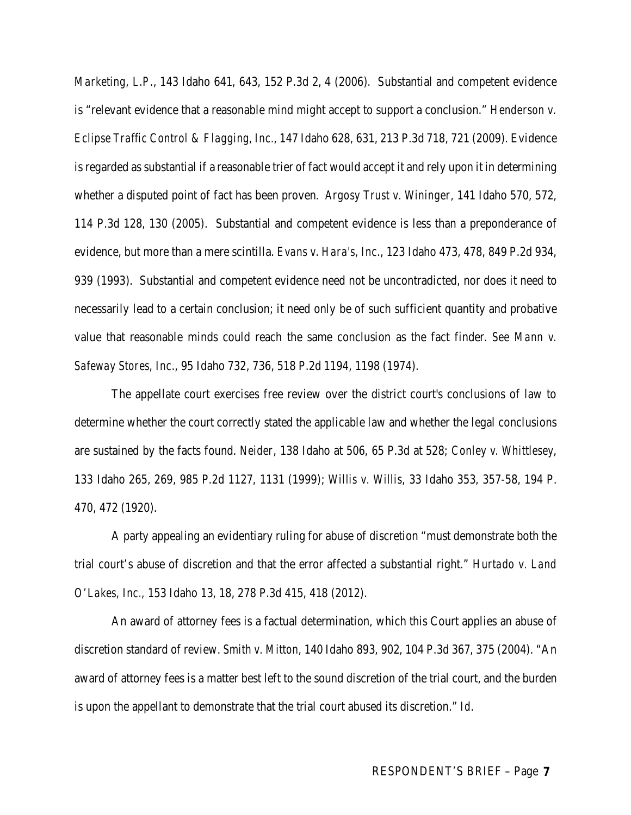*Marketing, L.P.*, 143 Idaho 641, 643, 152 P.3d 2, 4 (2006)*.* Substantial and competent evidence is "relevant evidence that a reasonable mind might accept to support a conclusion." *Henderson v. Eclipse Traffic Control & Flagging, Inc.*, 147 Idaho 628, 631, 213 P.3d 718, 721 (2009). Evidence is regarded as substantial if a reasonable trier of fact would accept it and rely upon it in determining whether a disputed point of fact has been proven. *Argosy Trust v. Wininger*, 141 Idaho 570, 572, 114 P.3d 128, 130 (2005). Substantial and competent evidence is less than a preponderance of evidence, but more than a mere scintilla. *Evans v. Hara's, Inc*., 123 Idaho 473, 478, 849 P.2d 934, 939 (1993). Substantial and competent evidence need not be uncontradicted, nor does it need to necessarily lead to a certain conclusion; it need only be of such sufficient quantity and probative value that reasonable minds could reach the same conclusion as the fact finder. *See Mann v. Safeway Stores, Inc*., 95 Idaho 732, 736, 518 P.2d 1194, 1198 (1974).

The appellate court exercises free review over the district court's conclusions of law to determine whether the court correctly stated the applicable law and whether the legal conclusions are sustained by the facts found. *Neider*, 138 Idaho at 506, 65 P.3d at 528; *Conley v. Whittlesey*, 133 Idaho 265, 269, 985 P.2d 1127, 1131 (1999); *Willis v. Willis*, 33 Idaho 353, 357-58, 194 P. 470, 472 (1920).

A party appealing an evidentiary ruling for abuse of discretion "must demonstrate both the trial court's abuse of discretion and that the error affected a substantial right." *Hurtado v. Land O'Lakes, Inc.,* 153 Idaho 13, 18, 278 P.3d 415, 418 (2012).

An award of attorney fees is a factual determination, which this Court applies an abuse of discretion standard of review. *Smith v. Mitton,* 140 Idaho 893, 902, 104 P.3d 367, 375 (2004). "An award of attorney fees is a matter best left to the sound discretion of the trial court, and the burden is upon the appellant to demonstrate that the trial court abused its discretion." *Id.*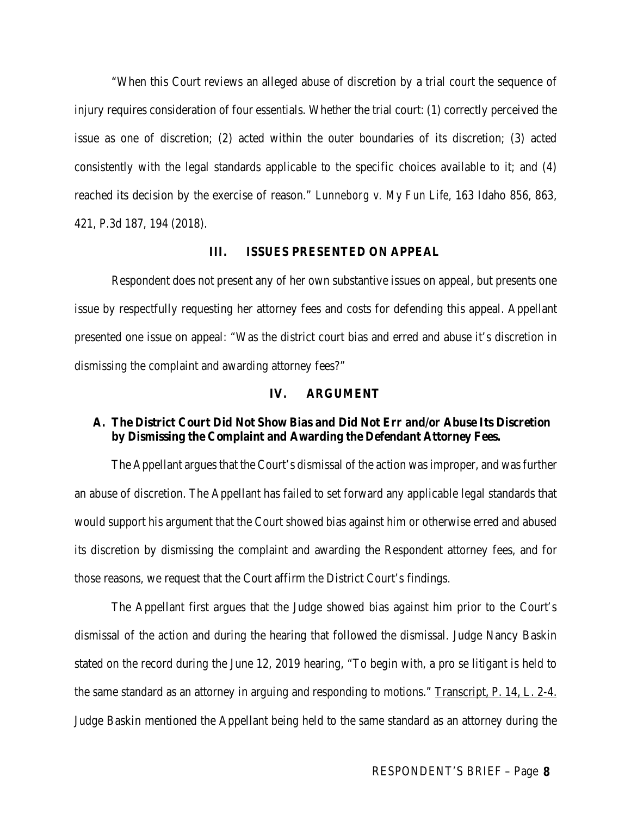"When this Court reviews an alleged abuse of discretion by a trial court the sequence of injury requires consideration of four essentials. Whether the trial court: (1) correctly perceived the issue as one of discretion; (2) acted within the outer boundaries of its discretion; (3) acted consistently with the legal standards applicable to the specific choices available to it; and (4) reached its decision by the exercise of reason." *Lunneborg v. My Fun Life,* 163 Idaho 856, 863, 421, P.3d 187, 194 (2018).

#### **III. ISSUES PRESENTED ON APPEAL**

Respondent does not present any of her own substantive issues on appeal, but presents one issue by respectfully requesting her attorney fees and costs for defending this appeal. Appellant presented one issue on appeal: "Was the district court bias and erred and abuse it's discretion in dismissing the complaint and awarding attorney fees?"

#### **IV. ARGUMENT**

### **A. The District Court Did Not Show Bias and Did Not Err and/or Abuse Its Discretion by Dismissing the Complaint and Awarding the Defendant Attorney Fees.**

The Appellant argues that the Court's dismissal of the action was improper, and was further an abuse of discretion. The Appellant has failed to set forward any applicable legal standards that would support his argument that the Court showed bias against him or otherwise erred and abused its discretion by dismissing the complaint and awarding the Respondent attorney fees, and for those reasons, we request that the Court affirm the District Court's findings.

The Appellant first argues that the Judge showed bias against him prior to the Court's dismissal of the action and during the hearing that followed the dismissal. Judge Nancy Baskin stated on the record during the June 12, 2019 hearing, "To begin with, a pro se litigant is held to the same standard as an attorney in arguing and responding to motions." Transcript, P. 14, L. 2-4. Judge Baskin mentioned the Appellant being held to the same standard as an attorney during the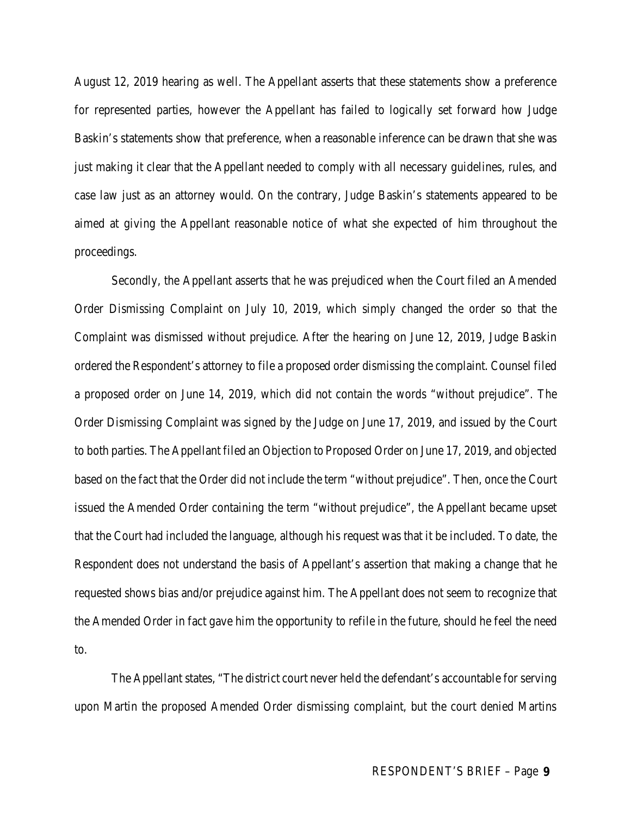August 12, 2019 hearing as well. The Appellant asserts that these statements show a preference for represented parties, however the Appellant has failed to logically set forward how Judge Baskin's statements show that preference, when a reasonable inference can be drawn that she was just making it clear that the Appellant needed to comply with all necessary guidelines, rules, and case law just as an attorney would. On the contrary, Judge Baskin's statements appeared to be aimed at giving the Appellant reasonable notice of what she expected of him throughout the proceedings.

Secondly, the Appellant asserts that he was prejudiced when the Court filed an Amended Order Dismissing Complaint on July 10, 2019, which simply changed the order so that the Complaint was dismissed without prejudice. After the hearing on June 12, 2019, Judge Baskin ordered the Respondent's attorney to file a proposed order dismissing the complaint. Counsel filed a proposed order on June 14, 2019, which did not contain the words "without prejudice". The Order Dismissing Complaint was signed by the Judge on June 17, 2019, and issued by the Court to both parties. The Appellant filed an Objection to Proposed Order on June 17, 2019, and objected based on the fact that the Order did not include the term "without prejudice". Then, once the Court issued the Amended Order containing the term "without prejudice", the Appellant became upset that the Court had included the language, although his request was that it be included. To date, the Respondent does not understand the basis of Appellant's assertion that making a change that he requested shows bias and/or prejudice against him. The Appellant does not seem to recognize that the Amended Order in fact gave him the opportunity to refile in the future, should he feel the need to.

The Appellant states, "The district court never held the defendant's accountable for serving upon Martin the proposed Amended Order dismissing complaint, but the court denied Martins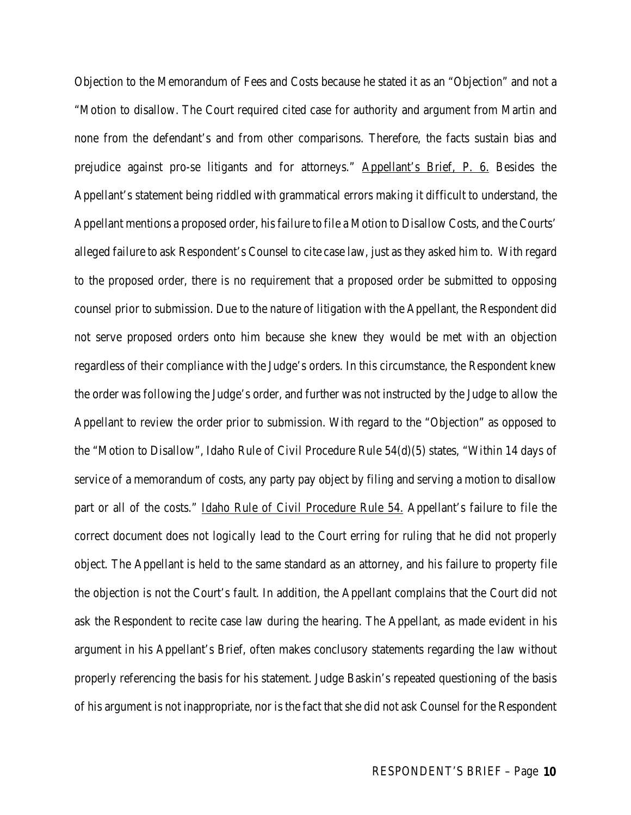Objection to the Memorandum of Fees and Costs because he stated it as an "Objection" and not a "Motion to disallow. The Court required cited case for authority and argument from Martin and none from the defendant's and from other comparisons. Therefore, the facts sustain bias and prejudice against pro-se litigants and for attorneys." Appellant's Brief, P. 6. Besides the Appellant's statement being riddled with grammatical errors making it difficult to understand, the Appellant mentions a proposed order, his failure to file a Motion to Disallow Costs, and the Courts' alleged failure to ask Respondent's Counsel to cite case law, just as they asked him to. With regard to the proposed order, there is no requirement that a proposed order be submitted to opposing counsel prior to submission. Due to the nature of litigation with the Appellant, the Respondent did not serve proposed orders onto him because she knew they would be met with an objection regardless of their compliance with the Judge's orders. In this circumstance, the Respondent knew the order was following the Judge's order, and further was not instructed by the Judge to allow the Appellant to review the order prior to submission. With regard to the "Objection" as opposed to the "Motion to Disallow", Idaho Rule of Civil Procedure Rule 54(d)(5) states, "Within 14 days of service of a memorandum of costs, any party pay object by filing and serving a motion to disallow part or all of the costs." Idaho Rule of Civil Procedure Rule 54. Appellant's failure to file the correct document does not logically lead to the Court erring for ruling that he did not properly object. The Appellant is held to the same standard as an attorney, and his failure to property file the objection is not the Court's fault. In addition, the Appellant complains that the Court did not ask the Respondent to recite case law during the hearing. The Appellant, as made evident in his argument in his Appellant's Brief, often makes conclusory statements regarding the law without properly referencing the basis for his statement. Judge Baskin's repeated questioning of the basis of his argument is not inappropriate, nor is the fact that she did not ask Counsel for the Respondent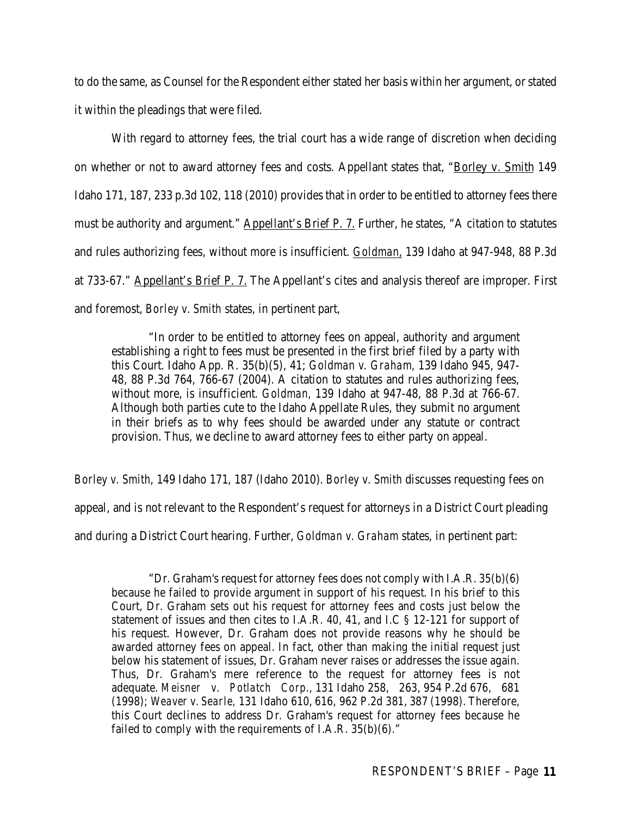to do the same, as Counsel for the Respondent either stated her basis within her argument, or stated it within the pleadings that were filed.

With regard to attorney fees, the trial court has a wide range of discretion when deciding on whether or not to award attorney fees and costs. Appellant states that, "Borley v. Smith 149 Idaho 171, 187, 233 p.3d 102, 118 (2010) provides that in order to be entitled to attorney fees there must be authority and argument." Appellant's Brief P. 7. Further, he states, "A citation to statutes and rules authorizing fees, without more is insufficient. *Goldman,* 139 Idaho at 947-948, 88 P.3d at 733-67." Appellant's Brief P. 7. The Appellant's cites and analysis thereof are improper. First and foremost, *Borley v. Smith* states, in pertinent part,

"In order to be entitled to attorney fees on appeal, authority and argument establishing a right to fees must be presented in the first brief filed by a party with this Court. Idaho App. R. 35(b)(5), 41; *Goldman v. Graham,* 139 Idaho 945, 947- 48, 88 P.3d 764, 766-67 (2004). A citation to statutes and rules authorizing fees, without more, is insufficient. *Goldman,* 139 Idaho at 947-48, 88 P.3d at 766-67. Although both parties cute to the Idaho Appellate Rules, they submit no argument in their briefs as to why fees should be awarded under any statute or contract provision. Thus, we decline to award attorney fees to either party on appeal.

*Borley v. Smith*, 149 Idaho 171, 187 (Idaho 2010). *Borley v. Smith* discusses requesting fees on appeal, and is not relevant to the Respondent's request for attorneys in a District Court pleading and during a District Court hearing. Further, *Goldman v. Graham* states, in pertinent part:

"Dr. Graham's request for attorney fees does not comply with I.A.R. 35(b)(6) because he failed to provide argument in support of his request. In his brief to this Court, Dr. Graham sets out his request for attorney fees and costs just below the statement of issues and then cites to I.A.R. 40, 41, and I.C § 12-121 for support of his request. However, Dr. Graham does not provide reasons why he should be awarded attorney fees on appeal. In fact, other than making the initial request just below his statement of issues, Dr. Graham never raises or addresses the issue again. Thus, Dr. Graham's mere reference to the request for attorney fees is not adequate. *Meisner v. Potlatch Corp.,* 131 Idaho 258, 263, 954 P.2d 676, 681 (1998); *Weaver v. Searle,* 131 Idaho 610, 616, 962 P.2d 381, 387 (1998). Therefore, this Court declines to address Dr. Graham's request for attorney fees because he failed to comply with the requirements of I.A.R. 35(b)(6)."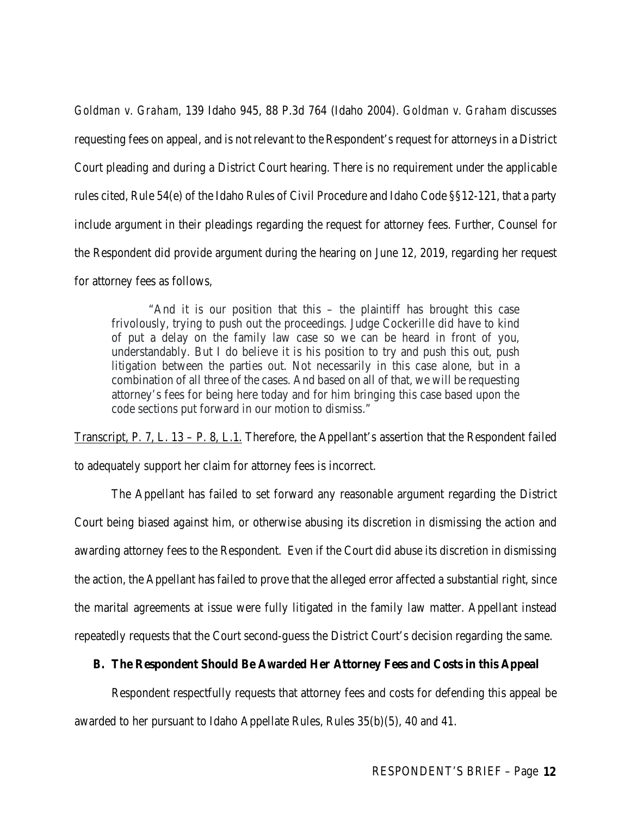*Goldman v. Graham,* 139 Idaho 945, 88 P.3d 764 (Idaho 2004). *Goldman v. Graham* discusses requesting fees on appeal, and is not relevant to the Respondent's request for attorneys in a District Court pleading and during a District Court hearing. There is no requirement under the applicable rules cited, Rule 54(e) of the Idaho Rules of Civil Procedure and Idaho Code §§12-121, that a party include argument in their pleadings regarding the request for attorney fees. Further, Counsel for the Respondent did provide argument during the hearing on June 12, 2019, regarding her request for attorney fees as follows,

"And it is our position that this – the plaintiff has brought this case frivolously, trying to push out the proceedings. Judge Cockerille did have to kind of put a delay on the family law case so we can be heard in front of you, understandably. But I do believe it is his position to try and push this out, push litigation between the parties out. Not necessarily in this case alone, but in a combination of all three of the cases. And based on all of that, we will be requesting attorney's fees for being here today and for him bringing this case based upon the code sections put forward in our motion to dismiss."

Transcript, P. 7, L. 13 – P. 8, L.1. Therefore, the Appellant's assertion that the Respondent failed to adequately support her claim for attorney fees is incorrect.

The Appellant has failed to set forward any reasonable argument regarding the District Court being biased against him, or otherwise abusing its discretion in dismissing the action and awarding attorney fees to the Respondent. Even if the Court did abuse its discretion in dismissing the action, the Appellant has failed to prove that the alleged error affected a substantial right, since the marital agreements at issue were fully litigated in the family law matter. Appellant instead repeatedly requests that the Court second-guess the District Court's decision regarding the same.

### **B. The Respondent Should Be Awarded Her Attorney Fees and Costs in this Appeal**

Respondent respectfully requests that attorney fees and costs for defending this appeal be awarded to her pursuant to Idaho Appellate Rules, Rules 35(b)(5), 40 and 41.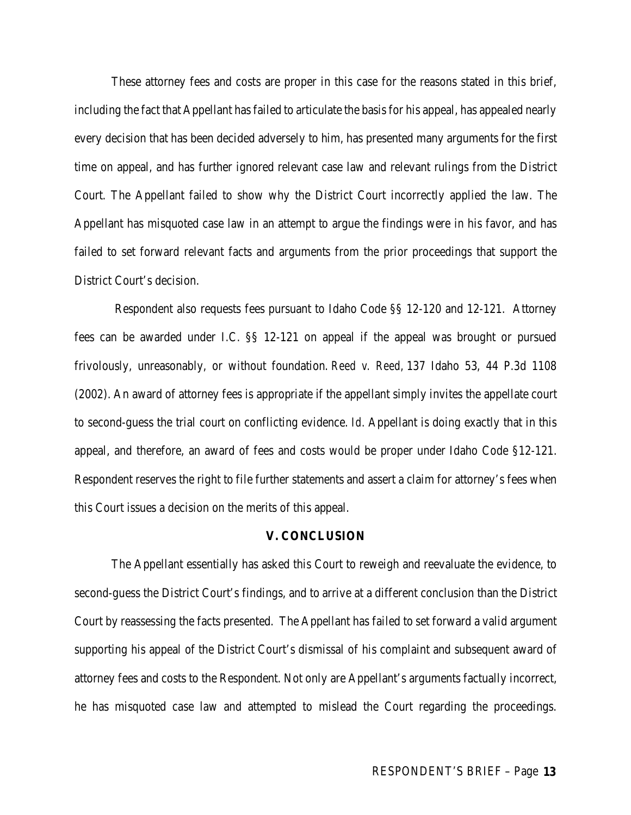These attorney fees and costs are proper in this case for the reasons stated in this brief, including the fact that Appellant has failed to articulate the basis for his appeal, has appealed nearly every decision that has been decided adversely to him, has presented many arguments for the first time on appeal, and has further ignored relevant case law and relevant rulings from the District Court. The Appellant failed to show why the District Court incorrectly applied the law. The Appellant has misquoted case law in an attempt to argue the findings were in his favor, and has failed to set forward relevant facts and arguments from the prior proceedings that support the District Court's decision.

Respondent also requests fees pursuant to Idaho Code §§ 12-120 and 12-121. Attorney fees can be awarded under I.C. §§ 12-121 on appeal if the appeal was brought or pursued frivolously, unreasonably, or without foundation. *Reed v. Reed,* 137 Idaho 53, 44 P.3d 1108 (2002). An award of attorney fees is appropriate if the appellant simply invites the appellate court to second-guess the trial court on conflicting evidence. *Id.* Appellant is doing exactly that in this appeal, and therefore, an award of fees and costs would be proper under Idaho Code §12-121. Respondent reserves the right to file further statements and assert a claim for attorney's fees when this Court issues a decision on the merits of this appeal.

#### **V. CONCLUSION**

The Appellant essentially has asked this Court to reweigh and reevaluate the evidence, to second-guess the District Court's findings, and to arrive at a different conclusion than the District Court by reassessing the facts presented. The Appellant has failed to set forward a valid argument supporting his appeal of the District Court's dismissal of his complaint and subsequent award of attorney fees and costs to the Respondent. Not only are Appellant's arguments factually incorrect, he has misquoted case law and attempted to mislead the Court regarding the proceedings.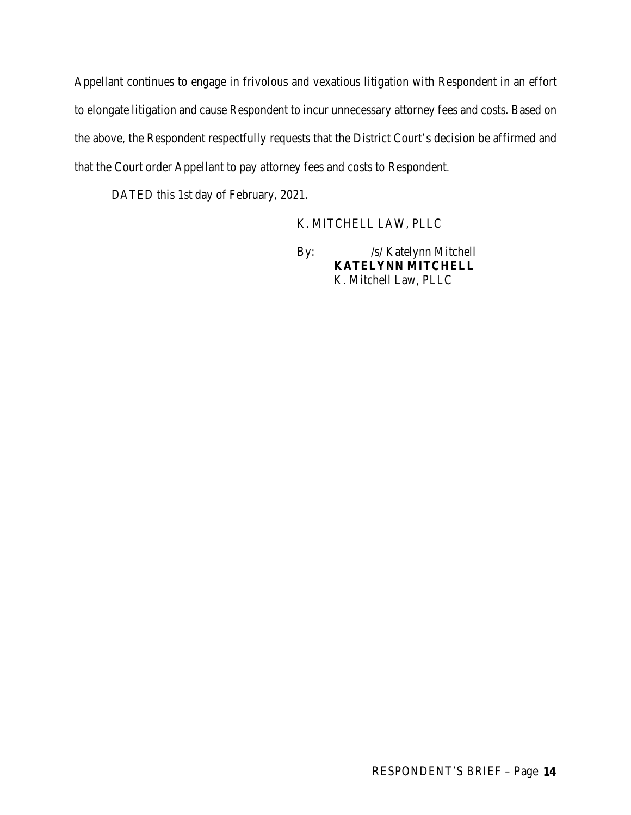Appellant continues to engage in frivolous and vexatious litigation with Respondent in an effort to elongate litigation and cause Respondent to incur unnecessary attorney fees and costs. Based on the above, the Respondent respectfully requests that the District Court's decision be affirmed and that the Court order Appellant to pay attorney fees and costs to Respondent.

DATED this 1st day of February, 2021.

### K. MITCHELL LAW, PLLC

By: <u>/s/ Katelynn Mitchell</u> **KATELYNN MITCHELL** K. Mitchell Law, PLLC